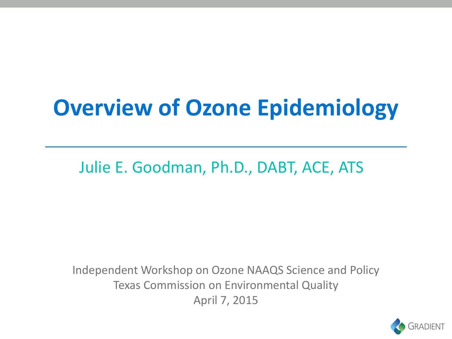# **Overview of Ozone Epidemiology**

Julie E. Goodman, Ph.D., DABT, ACE, ATS

Independent Workshop on Ozone NAAQS Science and Policy Texas Commission on Environmental Quality April 7, 2015

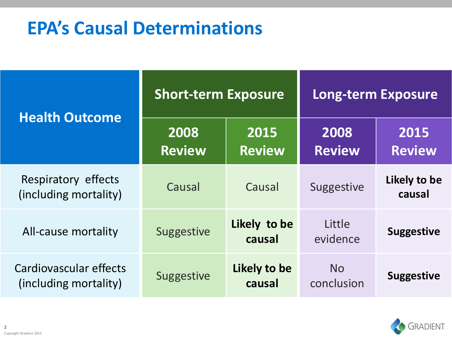## **EPA's Causal Determinations**

|                                                 | <b>Short-term Exposure</b> |                        | <b>Long-term Exposure</b> |                        |
|-------------------------------------------------|----------------------------|------------------------|---------------------------|------------------------|
| <b>Health Outcome</b>                           | 2008<br><b>Review</b>      | 2015<br><b>Review</b>  | 2008<br><b>Review</b>     | 2015<br><b>Review</b>  |
| Respiratory effects<br>(including mortality)    | Causal                     | Causal                 | Suggestive                | Likely to be<br>causal |
| All-cause mortality                             | <b>Suggestive</b>          | Likely to be<br>causal | Little<br>evidence        | <b>Suggestive</b>      |
| Cardiovascular effects<br>(including mortality) | <b>Suggestive</b>          | Likely to be<br>causal | <b>No</b><br>conclusion   | <b>Suggestive</b>      |

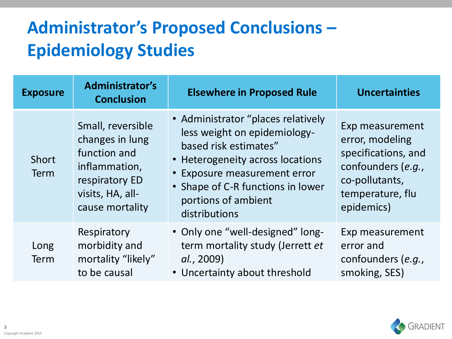## **Administrator's Proposed Conclusions – Epidemiology Studies**

| <b>Exposure</b>      | <b>Administrator's</b><br><b>Conclusion</b>                                                                                    | <b>Elsewhere in Proposed Rule</b>                                                                                                                                                                                                            | <b>Uncertainties</b>                                                                                                                |  |
|----------------------|--------------------------------------------------------------------------------------------------------------------------------|----------------------------------------------------------------------------------------------------------------------------------------------------------------------------------------------------------------------------------------------|-------------------------------------------------------------------------------------------------------------------------------------|--|
| Short<br><b>Term</b> | Small, reversible<br>changes in lung<br>function and<br>inflammation,<br>respiratory ED<br>visits, HA, all-<br>cause mortality | • Administrator "places relatively<br>less weight on epidemiology-<br>based risk estimates"<br>• Heterogeneity across locations<br>• Exposure measurement error<br>• Shape of C-R functions in lower<br>portions of ambient<br>distributions | Exp measurement<br>error, modeling<br>specifications, and<br>confounders (e.g.,<br>co-pollutants,<br>temperature, flu<br>epidemics) |  |
| Long<br>Term         | Respiratory<br>morbidity and<br>mortality "likely"<br>to be causal                                                             | • Only one "well-designed" long-<br>term mortality study (Jerrett et<br>al., 2009)<br>• Uncertainty about threshold                                                                                                                          | Exp measurement<br>error and<br>confounders (e.g.,<br>smoking, SES)                                                                 |  |

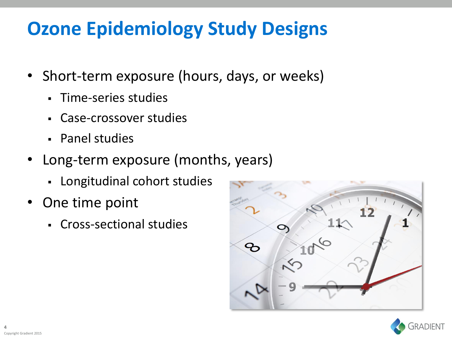## **Ozone Epidemiology Study Designs**

- Short-term exposure (hours, days, or weeks)
	- Time-series studies
	- Case-crossover studies
	- Panel studies
- Long-term exposure (months, years)
	- Longitudinal cohort studies
- One time point
	- Cross-sectional studies



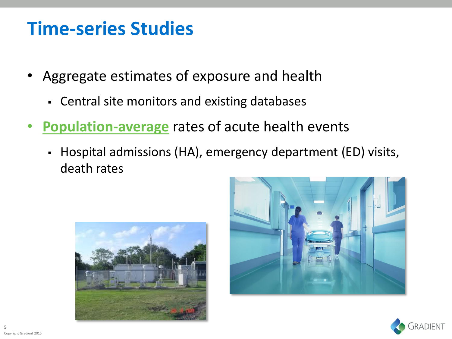#### **Time-series Studies**

- Aggregate estimates of exposure and health
	- Central site monitors and existing databases
- **Population-average** rates of acute health events
	- Hospital admissions (HA), emergency department (ED) visits, death rates





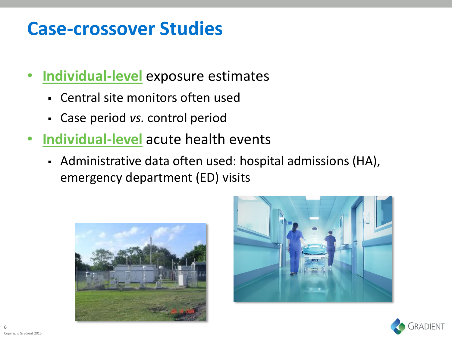#### **Case-crossover Studies**

- **Individual-level** exposure estimates
	- Central site monitors often used
	- Case period *vs.* control period
- **Individual-level** acute health events
	- Administrative data often used: hospital admissions (HA), emergency department (ED) visits





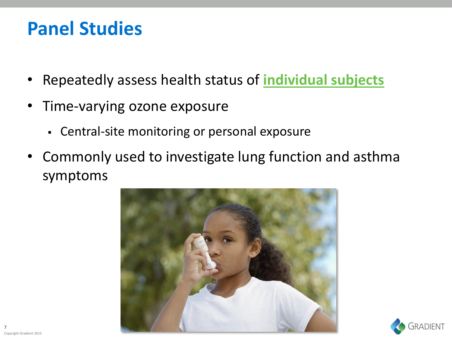#### **Panel Studies**

- Repeatedly assess health status of **individual subjects**
- Time-varying ozone exposure
	- Central-site monitoring or personal exposure
- Commonly used to investigate lung function and asthma symptoms



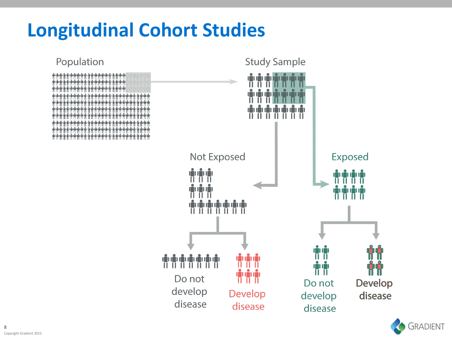## **Longitudinal Cohort Studies**



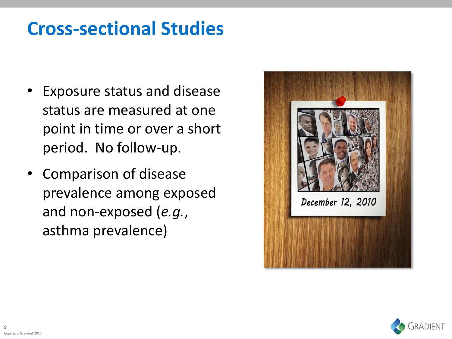## **Cross-sectional Studies**

- Exposure status and disease status are measured at one point in time or over a short period. No follow-up.
- Comparison of disease prevalence among exposed and non-exposed (*e.g.*, asthma prevalence)



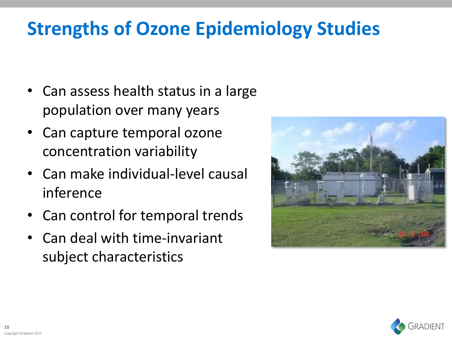# **Strengths of Ozone Epidemiology Studies**

- Can assess health status in a large population over many years
- Can capture temporal ozone concentration variability
- Can make individual-level causal inference
- Can control for temporal trends
- Can deal with time-invariant subject characteristics



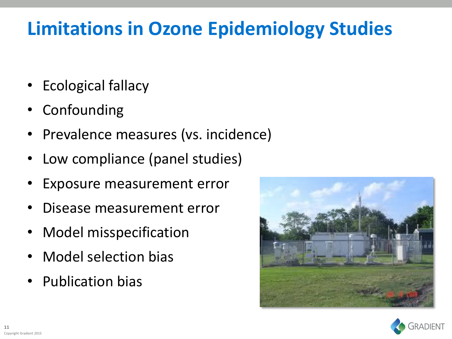# **Limitations in Ozone Epidemiology Studies**

- Ecological fallacy
- **Confounding**
- Prevalence measures (vs. incidence)
- Low compliance (panel studies)
- Exposure measurement error
- Disease measurement error
- Model misspecification
- Model selection bias
- Publication bias